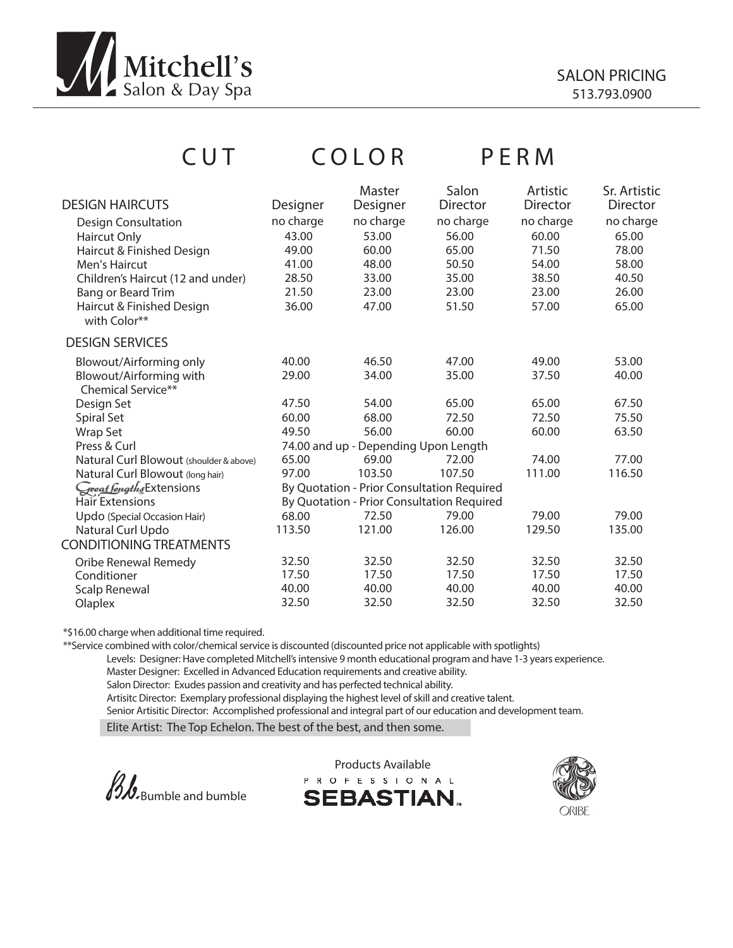

| CUT                                     |           | COLOR                                      |                   | PERM                 |                                 |
|-----------------------------------------|-----------|--------------------------------------------|-------------------|----------------------|---------------------------------|
| <b>DESIGN HAIRCUTS</b>                  | Designer  | Master<br>Designer                         | Salon<br>Director | Artistic<br>Director | Sr. Artistic<br><b>Director</b> |
| <b>Design Consultation</b>              | no charge | no charge                                  | no charge         | no charge            | no charge                       |
| Haircut Only                            | 43.00     | 53.00                                      | 56.00             | 60.00                | 65.00                           |
| Haircut & Finished Design               | 49.00     | 60.00                                      | 65.00             | 71.50                | 78.00                           |
| Men's Haircut                           | 41.00     | 48.00                                      | 50.50             | 54.00                | 58.00                           |
| Children's Haircut (12 and under)       | 28.50     | 33.00                                      | 35.00             | 38.50                | 40.50                           |
| Bang or Beard Trim                      | 21.50     | 23.00                                      | 23.00             | 23.00                | 26.00                           |
| Haircut & Finished Design               | 36.00     | 47.00                                      | 51.50             | 57.00                | 65.00                           |
| with Color**                            |           |                                            |                   |                      |                                 |
|                                         |           |                                            |                   |                      |                                 |
| <b>DESIGN SERVICES</b>                  |           |                                            |                   |                      |                                 |
| Blowout/Airforming only                 | 40.00     | 46.50                                      | 47.00             | 49.00                | 53.00                           |
| Blowout/Airforming with                 | 29.00     | 34.00                                      | 35.00             | 37.50                | 40.00                           |
| <b>Chemical Service**</b>               |           |                                            |                   |                      |                                 |
| Design Set                              | 47.50     | 54.00                                      | 65.00             | 65.00                | 67.50                           |
| Spiral Set                              | 60.00     | 68.00                                      | 72.50             | 72.50                | 75.50                           |
| Wrap Set                                | 49.50     | 56.00                                      | 60.00             | 60.00                | 63.50                           |
| Press & Curl                            |           | 74.00 and up - Depending Upon Length       |                   |                      |                                 |
| Natural Curl Blowout (shoulder & above) | 65.00     | 69.00                                      | 72.00             | 74.00                | 77.00                           |
| Natural Curl Blowout (long hair)        | 97.00     | 103.50                                     | 107.50            | 111.00               | 116.50                          |
| Great Sengths Extensions                |           | By Quotation - Prior Consultation Required |                   |                      |                                 |
| Hair Extensions                         |           | By Quotation - Prior Consultation Required |                   |                      |                                 |
| Updo (Special Occasion Hair)            | 68.00     | 72.50                                      | 79.00             | 79.00                | 79.00                           |
| Natural Curl Updo                       | 113.50    | 121.00                                     | 126.00            | 129.50               | 135.00                          |
| <b>CONDITIONING TREATMENTS</b>          |           |                                            |                   |                      |                                 |
| Oribe Renewal Remedy                    | 32.50     | 32.50                                      | 32.50             | 32.50                | 32.50                           |
| Conditioner                             | 17.50     | 17.50                                      | 17.50             | 17.50                | 17.50                           |
| <b>Scalp Renewal</b>                    | 40.00     | 40.00                                      | 40.00             | 40.00                | 40.00                           |
| Olaplex                                 | 32.50     | 32.50                                      | 32.50             | 32.50                | 32.50                           |

\*\$16.00 charge when additional time required.

\*\*Service combined with color/chemical service is discounted (discounted price not applicable with spotlights)

Levels: Designer: Have completed Mitchell's intensive 9 month educational program and have 1-3 years experience. Master Designer: Excelled in Advanced Education requirements and creative ability.

Salon Director: Exudes passion and creativity and has perfected technical ability.

Artisitc Director: Exemplary professional displaying the highest level of skill and creative talent.

Senior Artisitic Director: Accomplished professional and integral part of our education and development team.

Elite Artist: The Top Echelon. The best of the best, and then some.



Products Available<br>PROFESSIONAL **SEBASTIAN.** 

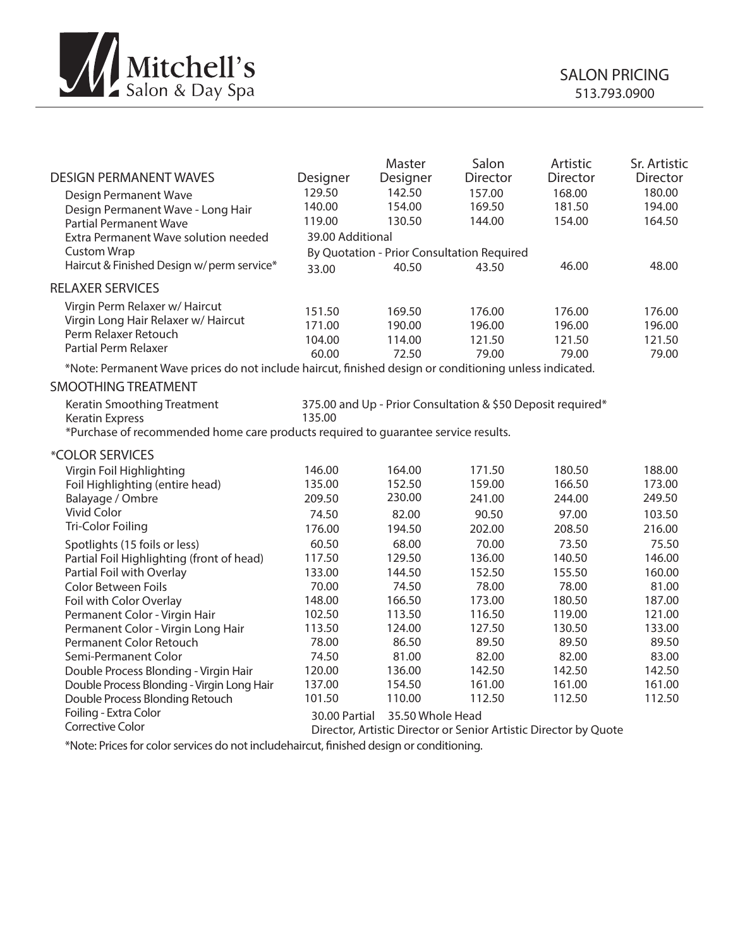

| <b>DESIGN PERMANENT WAVES</b>                                                                          | Designer         | Master<br>Designer                                          | Salon<br><b>Director</b> | Artistic<br><b>Director</b> | Sr. Artistic<br>Director |
|--------------------------------------------------------------------------------------------------------|------------------|-------------------------------------------------------------|--------------------------|-----------------------------|--------------------------|
| <b>Design Permanent Wave</b>                                                                           | 129.50           | 142.50                                                      | 157.00                   | 168.00                      | 180.00                   |
| Design Permanent Wave - Long Hair                                                                      | 140.00           | 154.00                                                      | 169.50                   | 181.50                      | 194.00                   |
| <b>Partial Permanent Wave</b>                                                                          | 119.00           | 130.50                                                      | 144.00                   | 154.00                      | 164.50                   |
| Extra Permanent Wave solution needed                                                                   | 39.00 Additional |                                                             |                          |                             |                          |
| <b>Custom Wrap</b>                                                                                     |                  | By Quotation - Prior Consultation Required                  |                          |                             |                          |
| Haircut & Finished Design w/perm service*                                                              | 33.00            | 40.50                                                       | 43.50                    | 46.00                       | 48.00                    |
| <b>RELAXER SERVICES</b>                                                                                |                  |                                                             |                          |                             |                          |
| Virgin Perm Relaxer w/ Haircut                                                                         | 151.50           | 169.50                                                      | 176.00                   | 176.00                      | 176.00                   |
| Virgin Long Hair Relaxer w/ Haircut                                                                    | 171.00           | 190.00                                                      | 196.00                   | 196.00                      | 196.00                   |
| Perm Relaxer Retouch                                                                                   | 104.00           | 114.00                                                      | 121.50                   |                             | 121.50                   |
| Partial Perm Relaxer                                                                                   | 60.00            | 72.50                                                       | 79.00                    | 121.50<br>79.00             |                          |
| *Note: Permanent Wave prices do not include haircut, finished design or conditioning unless indicated. |                  |                                                             |                          |                             | 79.00                    |
| <b>SMOOTHING TREATMENT</b>                                                                             |                  |                                                             |                          |                             |                          |
|                                                                                                        |                  |                                                             |                          |                             |                          |
| Keratin Smoothing Treatment                                                                            | 135.00           | 375.00 and Up - Prior Consultation & \$50 Deposit required* |                          |                             |                          |
| <b>Keratin Express</b>                                                                                 |                  |                                                             |                          |                             |                          |
| *Purchase of recommended home care products required to quarantee service results.                     |                  |                                                             |                          |                             |                          |
| *COLOR SERVICES                                                                                        |                  |                                                             |                          |                             |                          |
| Virgin Foil Highlighting                                                                               | 146.00           | 164.00                                                      | 171.50                   | 180.50                      | 188.00                   |
| Foil Highlighting (entire head)                                                                        | 135.00           | 152.50                                                      | 159.00                   | 166.50                      | 173.00                   |
| Balayage / Ombre                                                                                       | 209.50           | 230.00                                                      | 241.00                   | 244.00                      | 249.50                   |
| Vivid Color                                                                                            | 74.50            | 82.00                                                       | 90.50                    | 97.00                       | 103.50                   |
| Tri-Color Foiling                                                                                      | 176.00           | 194.50                                                      | 202.00                   | 208.50                      | 216.00                   |
| Spotlights (15 foils or less)                                                                          | 60.50            | 68.00                                                       | 70.00                    | 73.50                       | 75.50                    |
| Partial Foil Highlighting (front of head)                                                              | 117.50           | 129.50                                                      | 136.00                   | 140.50                      | 146.00                   |
| Partial Foil with Overlay                                                                              | 133.00           | 144.50                                                      | 152.50                   | 155.50                      | 160.00                   |
| <b>Color Between Foils</b>                                                                             | 70.00            | 74.50                                                       | 78.00                    | 78.00                       | 81.00                    |
| Foil with Color Overlay                                                                                | 148.00           | 166.50                                                      | 173.00                   | 180.50                      | 187.00                   |
| Permanent Color - Virgin Hair                                                                          | 102.50           | 113.50                                                      | 116.50                   | 119.00                      | 121.00                   |
| Permanent Color - Virgin Long Hair                                                                     | 113.50           | 124.00                                                      | 127.50                   | 130.50                      | 133.00                   |
| Permanent Color Retouch                                                                                | 78.00            | 86.50                                                       | 89.50                    | 89.50                       | 89.50                    |
| Semi-Permanent Color                                                                                   | 74.50            | 81.00                                                       | 82.00                    | 82.00                       | 83.00                    |
| Double Process Blonding - Virgin Hair                                                                  | 120.00           | 136.00                                                      | 142.50                   | 142.50                      | 142.50                   |
| Double Process Blonding - Virgin Long Hair                                                             | 137.00           | 154.50                                                      | 161.00                   | 161.00                      | 161.00                   |
| Double Process Blonding Retouch                                                                        | 101.50           | 110.00                                                      | 112.50                   | 112.50                      | 112.50                   |
| Foiling - Extra Color                                                                                  | 30.00 Partial    | 35.50 Whole Head                                            |                          |                             |                          |
| Corrective Calor                                                                                       |                  |                                                             |                          |                             |                          |

Corrective Color Director, Artistic Director or Senior Artistic Director by Quote

\*Note: Prices for color services do not includehaircut, finished design or conditioning.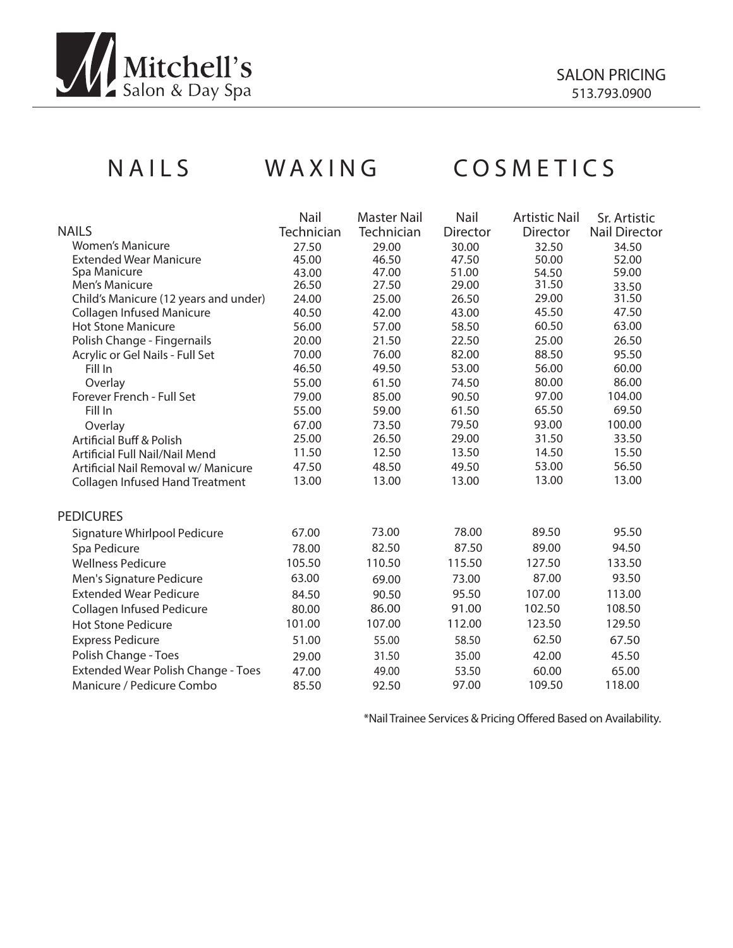

# NAILS WAXING COSMETICS

|                                        | Nail       | <b>Master Nail</b> | Nail     | <b>Artistic Nail</b> | Sr. Artistic         |
|----------------------------------------|------------|--------------------|----------|----------------------|----------------------|
| <b>NAILS</b>                           | Technician | Technician         | Director | Director             | <b>Nail Director</b> |
| <b>Women's Manicure</b>                | 27.50      | 29.00              | 30.00    | 32.50                | 34.50                |
| <b>Extended Wear Manicure</b>          | 45.00      | 46.50              | 47.50    | 50.00                | 52.00                |
| Spa Manicure                           | 43.00      | 47.00              | 51.00    | 54.50                | 59.00                |
| Men's Manicure                         | 26.50      | 27.50              | 29.00    | 31.50                | 33.50                |
| Child's Manicure (12 years and under)  | 24.00      | 25.00              | 26.50    | 29.00                | 31.50                |
| <b>Collagen Infused Manicure</b>       | 40.50      | 42.00              | 43.00    | 45.50                | 47.50                |
| <b>Hot Stone Manicure</b>              | 56.00      | 57.00              | 58.50    | 60.50                | 63.00                |
| Polish Change - Fingernails            | 20.00      | 21.50              | 22.50    | 25.00                | 26.50                |
| Acrylic or Gel Nails - Full Set        | 70.00      | 76.00              | 82.00    | 88.50                | 95.50                |
| Fill In                                | 46.50      | 49.50              | 53.00    | 56.00                | 60.00                |
| Overlay                                | 55.00      | 61.50              | 74.50    | 80.00                | 86.00                |
| Forever French - Full Set              | 79.00      | 85.00              | 90.50    | 97.00                | 104.00               |
| Fill In                                | 55.00      | 59.00              | 61.50    | 65.50                | 69.50                |
| Overlay                                | 67.00      | 73.50              | 79.50    | 93.00                | 100.00               |
| <b>Artificial Buff &amp; Polish</b>    | 25.00      | 26.50              | 29.00    | 31.50                | 33.50                |
| Artificial Full Nail/Nail Mend         | 11.50      | 12.50              | 13.50    | 14.50                | 15.50                |
| Artificial Nail Removal w/ Manicure    | 47.50      | 48.50              | 49.50    | 53.00                | 56.50                |
| <b>Collagen Infused Hand Treatment</b> | 13.00      | 13.00              | 13.00    | 13.00                | 13.00                |
|                                        |            |                    |          |                      |                      |
| <b>PEDICURES</b>                       |            |                    |          |                      |                      |
| Signature Whirlpool Pedicure           | 67.00      | 73.00              | 78.00    | 89.50                | 95.50                |
| Spa Pedicure                           | 78.00      | 82.50              | 87.50    | 89.00                | 94.50                |
| <b>Wellness Pedicure</b>               | 105.50     | 110.50             | 115.50   | 127.50               | 133.50               |
| Men's Signature Pedicure               | 63.00      | 69.00              | 73.00    | 87.00                | 93.50                |
| <b>Extended Wear Pedicure</b>          | 84.50      | 90.50              | 95.50    | 107.00               | 113.00               |
| Collagen Infused Pedicure              | 80.00      | 86.00              | 91.00    | 102.50               | 108.50               |
| Hot Stone Pedicure                     | 101.00     | 107.00             | 112.00   | 123.50               | 129.50               |
|                                        |            |                    |          |                      |                      |
| <b>Express Pedicure</b>                | 51.00      | 55.00              | 58.50    | 62.50                | 67.50                |
| Polish Change - Toes                   | 29.00      | 31.50              | 35.00    | 42.00                | 45.50                |
| Extended Wear Polish Change - Toes     | 47.00      | 49.00              | 53.50    | 60.00                | 65.00                |
| Manicure / Pedicure Combo              | 85.50      | 92.50              | 97.00    | 109.50               | 118.00               |
|                                        |            |                    |          |                      |                      |

\*Nail Trainee Services & Pricing Offered Based on Availability.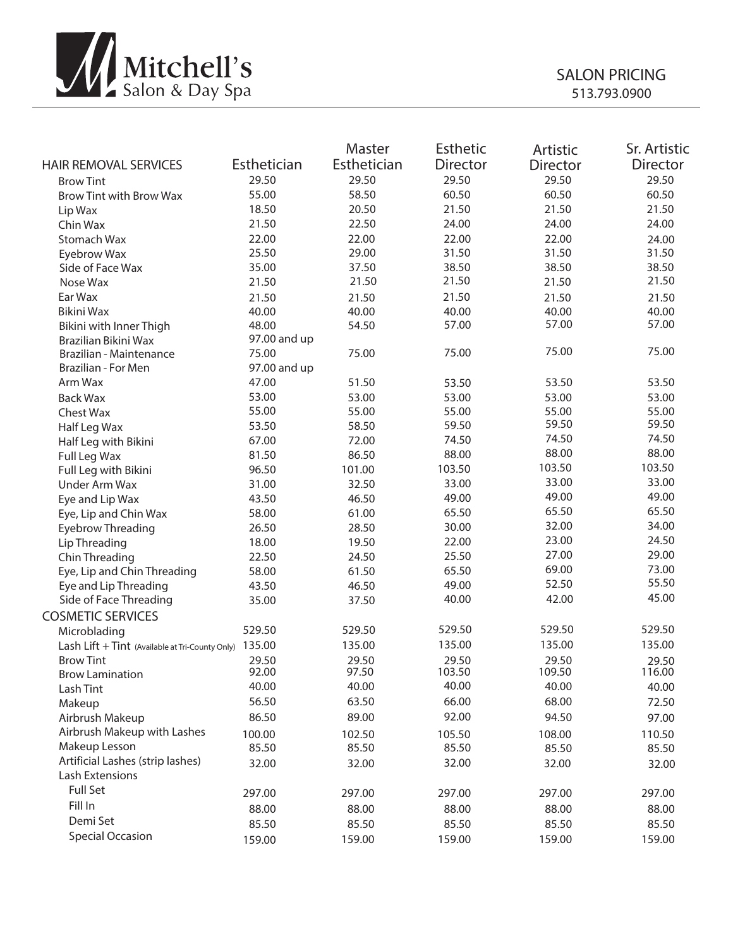

| <b>HAIR REMOVAL SERVICES</b>                    | Esthetician  | Master<br>Esthetician | Esthetic<br><b>Director</b> | Artistic<br><b>Director</b> | Sr. Artistic<br><b>Director</b> |
|-------------------------------------------------|--------------|-----------------------|-----------------------------|-----------------------------|---------------------------------|
| <b>Brow Tint</b>                                | 29.50        | 29.50                 | 29.50                       | 29.50                       | 29.50                           |
| <b>Brow Tint with Brow Wax</b>                  | 55.00        | 58.50                 | 60.50                       | 60.50                       | 60.50                           |
| Lip Wax                                         | 18.50        | 20.50                 | 21.50                       | 21.50                       | 21.50                           |
| Chin Wax                                        | 21.50        | 22.50                 | 24.00                       | 24.00                       | 24.00                           |
| Stomach Wax                                     | 22.00        | 22.00                 | 22.00                       | 22.00                       | 24.00                           |
| Eyebrow Wax                                     | 25.50        | 29.00                 | 31.50                       | 31.50                       | 31.50                           |
| Side of Face Wax                                | 35.00        | 37.50                 | 38.50                       | 38.50                       | 38.50                           |
| Nose Wax                                        | 21.50        | 21.50                 | 21.50                       | 21.50                       | 21.50                           |
| Ear Wax                                         | 21.50        | 21.50                 | 21.50                       | 21.50                       | 21.50                           |
| Bikini Wax                                      | 40.00        | 40.00                 | 40.00                       | 40.00                       | 40.00                           |
| Bikini with Inner Thigh                         | 48.00        | 54.50                 | 57.00                       | 57.00                       | 57.00                           |
| Brazilian Bikini Wax                            | 97.00 and up |                       |                             |                             |                                 |
| Brazilian - Maintenance                         | 75.00        | 75.00                 | 75.00                       | 75.00                       | 75.00                           |
| Brazilian - For Men                             | 97.00 and up |                       |                             |                             |                                 |
| Arm Wax                                         | 47.00        | 51.50                 | 53.50                       | 53.50                       | 53.50                           |
| <b>Back Wax</b>                                 | 53.00        | 53.00                 | 53.00                       | 53.00                       | 53.00                           |
| Chest Wax                                       | 55.00        | 55.00                 | 55.00                       | 55.00                       | 55.00                           |
| Half Leg Wax                                    | 53.50        | 58.50                 | 59.50                       | 59.50                       | 59.50                           |
| Half Leg with Bikini                            | 67.00        | 72.00                 | 74.50                       | 74.50                       | 74.50                           |
| Full Leg Wax                                    | 81.50        | 86.50                 | 88.00                       | 88.00                       | 88.00                           |
| Full Leg with Bikini                            | 96.50        | 101.00                | 103.50                      | 103.50                      | 103.50                          |
| Under Arm Wax                                   | 31.00        | 32.50                 | 33.00                       | 33.00                       | 33.00                           |
| Eye and Lip Wax                                 | 43.50        | 46.50                 | 49.00                       | 49.00                       | 49.00                           |
| Eye, Lip and Chin Wax                           | 58.00        | 61.00                 | 65.50                       | 65.50                       | 65.50                           |
| Eyebrow Threading                               | 26.50        | 28.50                 | 30.00                       | 32.00                       | 34.00                           |
| Lip Threading                                   | 18.00        | 19.50                 | 22.00                       | 23.00                       | 24.50                           |
| Chin Threading                                  | 22.50        | 24.50                 | 25.50                       | 27.00                       | 29.00                           |
| Eye, Lip and Chin Threading                     | 58.00        | 61.50                 | 65.50                       | 69.00                       | 73.00                           |
| Eye and Lip Threading                           | 43.50        | 46.50                 | 49.00                       | 52.50                       | 55.50                           |
| Side of Face Threading                          | 35.00        | 37.50                 | 40.00                       | 42.00                       | 45.00                           |
| <b>COSMETIC SERVICES</b>                        |              |                       |                             |                             |                                 |
| Microblading                                    | 529.50       | 529.50                | 529.50                      | 529.50                      | 529.50                          |
| Lash Lift + Tint (Available at Tri-County Only) | 135.00       | 135.00                | 135.00                      | 135.00                      | 135.00                          |
| <b>Brow Tint</b>                                | 29.50        | 29.50                 | 29.50                       | 29.50                       | 29.50                           |
| <b>Brow Lamination</b>                          | 92.00        | 97.50                 | 103.50                      | 109.50                      | 116.00                          |
| Lash Tint                                       | 40.00        | 40.00                 | 40.00                       | 40.00                       | 40.00                           |
| Makeup                                          | 56.50        | 63.50                 | 66.00                       | 68.00                       | 72.50                           |
| Airbrush Makeup                                 | 86.50        | 89.00                 | 92.00                       | 94.50                       | 97.00                           |
| Airbrush Makeup with Lashes                     | 100.00       | 102.50                | 105.50                      | 108.00                      | 110.50                          |
| Makeup Lesson                                   | 85.50        | 85.50                 | 85.50                       | 85.50                       | 85.50                           |
| Artificial Lashes (strip lashes)                | 32.00        | 32.00                 | 32.00                       | 32.00                       | 32.00                           |
| Lash Extensions                                 |              |                       |                             |                             |                                 |
| Full Set                                        | 297.00       | 297.00                | 297.00                      | 297.00                      | 297.00                          |
| Fill In                                         | 88.00        |                       | 88.00                       |                             |                                 |
| Demi Set                                        |              | 88.00                 |                             | 88.00                       | 88.00                           |
| <b>Special Occasion</b>                         | 85.50        | 85.50                 | 85.50                       | 85.50                       | 85.50                           |
|                                                 | 159.00       | 159.00                | 159.00                      | 159.00                      | 159.00                          |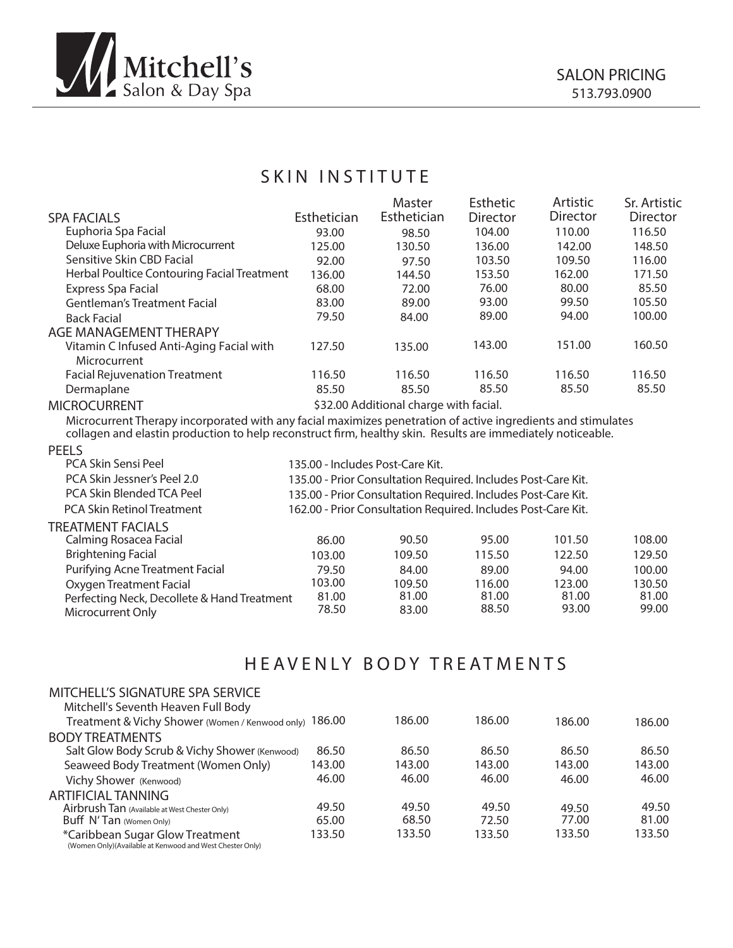

## SKIN INSTITUTE

|                                             |             | Master                                 | <b>Esthetic</b> | Artistic | Sr. Artistic    |
|---------------------------------------------|-------------|----------------------------------------|-----------------|----------|-----------------|
| <b>SPA FACIALS</b>                          | Esthetician | Esthetician                            | Director        | Director | <b>Director</b> |
| Euphoria Spa Facial                         | 93.00       | 98.50                                  | 104.00          | 110.00   | 116.50          |
| Deluxe Euphoria with Microcurrent           | 125.00      | 130.50                                 | 136.00          | 142.00   | 148.50          |
| Sensitive Skin CBD Facial                   | 92.00       | 97.50                                  | 103.50          | 109.50   | 116.00          |
| Herbal Poultice Contouring Facial Treatment | 136.00      | 144.50                                 | 153.50          | 162.00   | 171.50          |
| Express Spa Facial                          | 68.00       | 72.00                                  | 76.00           | 80.00    | 85.50           |
| <b>Gentleman's Treatment Facial</b>         | 83.00       | 89.00                                  | 93.00           | 99.50    | 105.50          |
| <b>Back Facial</b>                          | 79.50       | 84.00                                  | 89.00           | 94.00    | 100.00          |
| AGE MANAGEMENT THERAPY                      |             |                                        |                 |          |                 |
| Vitamin C Infused Anti-Aging Facial with    | 127.50      | 135.00                                 | 143.00          | 151.00   | 160.50          |
| Microcurrent                                |             |                                        |                 |          |                 |
| <b>Facial Rejuvenation Treatment</b>        | 116.50      | 116.50                                 | 116.50          | 116.50   | 116.50          |
| Dermaplane                                  | 85.50       | 85.50                                  | 85.50           | 85.50    | 85.50           |
| <b>MICROCURRENT</b>                         |             | \$32.00 Additional charge with facial. |                 |          |                 |

Microcurrent Therapy incorporated with any facial maximizes penetration of active ingredients and stimulates collagen and elastin production to help reconstruct firm, healthy skin. Results are immediately noticeable.

### PEELS

| PCA Skin Sensi Peel                         | 135.00 - Includes Post-Care Kit.                              |        |        |        |        |  |  |
|---------------------------------------------|---------------------------------------------------------------|--------|--------|--------|--------|--|--|
| PCA Skin Jessner's Peel 2.0                 | 135.00 - Prior Consultation Required. Includes Post-Care Kit. |        |        |        |        |  |  |
| PCA Skin Blended TCA Peel                   | 135.00 - Prior Consultation Required. Includes Post-Care Kit. |        |        |        |        |  |  |
| <b>PCA Skin Retinol Treatment</b>           | 162.00 - Prior Consultation Required. Includes Post-Care Kit. |        |        |        |        |  |  |
| TREATMENT FACIALS                           |                                                               |        |        |        |        |  |  |
| Calming Rosacea Facial                      | 86.00                                                         | 90.50  | 95.00  | 101.50 | 108.00 |  |  |
| <b>Brightening Facial</b>                   | 103.00                                                        | 109.50 | 115.50 | 122.50 | 129.50 |  |  |
| Purifying Acne Treatment Facial             | 79.50                                                         | 84.00  | 89.00  | 94.00  | 100.00 |  |  |
| Oxygen Treatment Facial                     | 103.00                                                        | 109.50 | 116.00 | 123.00 | 130.50 |  |  |
| Perfecting Neck, Decollete & Hand Treatment | 81.00                                                         | 81.00  | 81.00  | 81.00  | 81.00  |  |  |
| Microcurrent Only                           | 78.50                                                         | 83.00  | 88.50  | 93.00  | 99.00  |  |  |
|                                             |                                                               |        |        |        |        |  |  |

## HEAVENLY BODY TREATMENTS

| MITCHELL'S SIGNATURE SPA SERVICE                                                            |        |        |        |        |        |
|---------------------------------------------------------------------------------------------|--------|--------|--------|--------|--------|
| Mitchell's Seventh Heaven Full Body                                                         |        |        |        |        |        |
| Treatment & Vichy Shower (Women / Kenwood only) 186.00                                      |        | 186.00 | 186.00 | 186.00 | 186.00 |
| <b>BODY TREATMENTS</b>                                                                      |        |        |        |        |        |
| Salt Glow Body Scrub & Vichy Shower (Kenwood)                                               | 86.50  | 86.50  | 86.50  | 86.50  | 86.50  |
| Seaweed Body Treatment (Women Only)                                                         | 143.00 | 143.00 | 143.00 | 143.00 | 143.00 |
| Vichy Shower (Kenwood)                                                                      | 46.00  | 46.00  | 46.00  | 46.00  | 46.00  |
| ARTIFICIAL TANNING                                                                          |        |        |        |        |        |
| Airbrush Tan (Available at West Chester Only)                                               | 49.50  | 49.50  | 49.50  | 49.50  | 49.50  |
| Buff N'Tan (Women Only)                                                                     | 65.00  | 68.50  | 72.50  | 77.00  | 81.00  |
| *Caribbean Sugar Glow Treatment<br>(Women Only)(Available at Kenwood and West Chester Only) | 133.50 | 133.50 | 133.50 | 133.50 | 133.50 |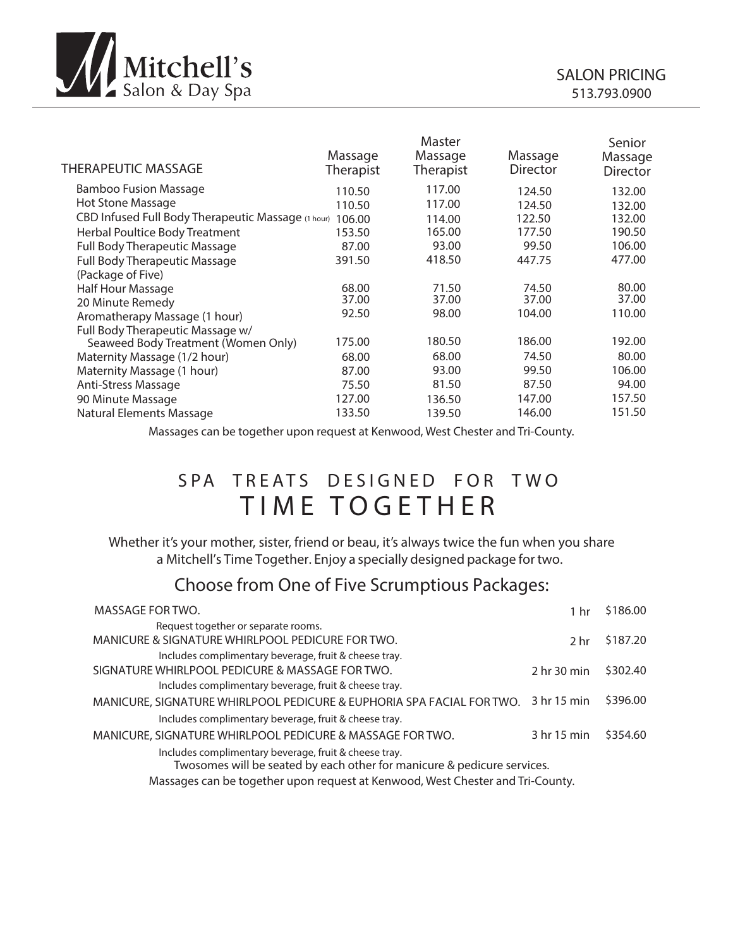

| <b>THERAPEUTIC MASSAGE</b>                         | Massage<br><b>Therapist</b> | Master<br>Massage<br>Therapist | Massage<br>Director | Senior<br>Massage<br><b>Director</b> |
|----------------------------------------------------|-----------------------------|--------------------------------|---------------------|--------------------------------------|
| Bamboo Fusion Massage                              | 110.50                      | 117.00                         | 124.50              | 132.00                               |
| Hot Stone Massage                                  | 110.50                      | 117.00                         | 124.50              | 132.00                               |
| CBD Infused Full Body Therapeutic Massage (1 hour) | 106.00                      | 114.00                         | 122.50              | 132.00                               |
| Herbal Poultice Body Treatment                     | 153.50                      | 165.00                         | 177.50              | 190.50                               |
| <b>Full Body Therapeutic Massage</b>               | 87.00                       | 93.00                          | 99.50               | 106.00                               |
| <b>Full Body Therapeutic Massage</b>               | 391.50                      | 418.50                         | 447.75              | 477.00                               |
| (Package of Five)                                  |                             |                                |                     |                                      |
| Half Hour Massage                                  | 68.00                       | 71.50                          | 74.50               | 80.00                                |
| 20 Minute Remedy                                   | 37.00                       | 37.00                          | 37.00               | 37.00                                |
| Aromatherapy Massage (1 hour)                      | 92.50                       | 98.00                          | 104.00              | 110.00                               |
| Full Body Therapeutic Massage w/                   |                             |                                |                     |                                      |
| Seaweed Body Treatment (Women Only)                | 175.00                      | 180.50                         | 186.00              | 192.00                               |
| Maternity Massage (1/2 hour)                       | 68.00                       | 68.00                          | 74.50               | 80.00                                |
| Maternity Massage (1 hour)                         | 87.00                       | 93.00                          | 99.50               | 106.00                               |
| Anti-Stress Massage                                | 75.50                       | 81.50                          | 87.50               | 94.00                                |
| 90 Minute Massage                                  | 127.00                      | 136.50                         | 147.00              | 157.50                               |
| Natural Elements Massage                           | 133.50                      | 139.50                         | 146.00              | 151.50                               |
|                                                    |                             |                                |                     |                                      |

Massages can be together upon request at Kenwood, West Chester and Tri-County.

## SPA TREATS DESIGNED FOR TWO TIME TOGETHER

Whether it's your mother, sister, friend or beau, it's always twice the fun when you share a Mitchell's Time Together. Enjoy a specially designed package for two.

## Choose from One of Five Scrumptious Packages:

| MASSAGE FOR TWO.                                                                                                                 | 1 hr        | \$186.00 |
|----------------------------------------------------------------------------------------------------------------------------------|-------------|----------|
| Request together or separate rooms.                                                                                              |             |          |
| MANICURE & SIGNATURE WHIRLPOOL PEDICURE FOR TWO.                                                                                 | 2 hr        | \$187.20 |
| Includes complimentary beverage, fruit & cheese tray.                                                                            |             |          |
| SIGNATURE WHIRLPOOL PEDICURE & MASSAGE FOR TWO.                                                                                  | 2 hr 30 min | \$302.40 |
| Includes complimentary beverage, fruit & cheese tray.                                                                            |             |          |
| MANICURE, SIGNATURE WHIRLPOOL PEDICURE & EUPHORIA SPA FACIAL FOR TWO.                                                            | 3 hr 15 min | \$396.00 |
| Includes complimentary beverage, fruit & cheese tray.                                                                            |             |          |
| MANICURE, SIGNATURE WHIRLPOOL PEDICURE & MASSAGE FOR TWO.                                                                        | 3 hr 15 min | \$354.60 |
| Includes complimentary beverage, fruit & cheese tray.<br>Twosomes will be seated by each other for manicure & pedicure services. |             |          |

Massages can be together upon request at Kenwood, West Chester and Tri-County.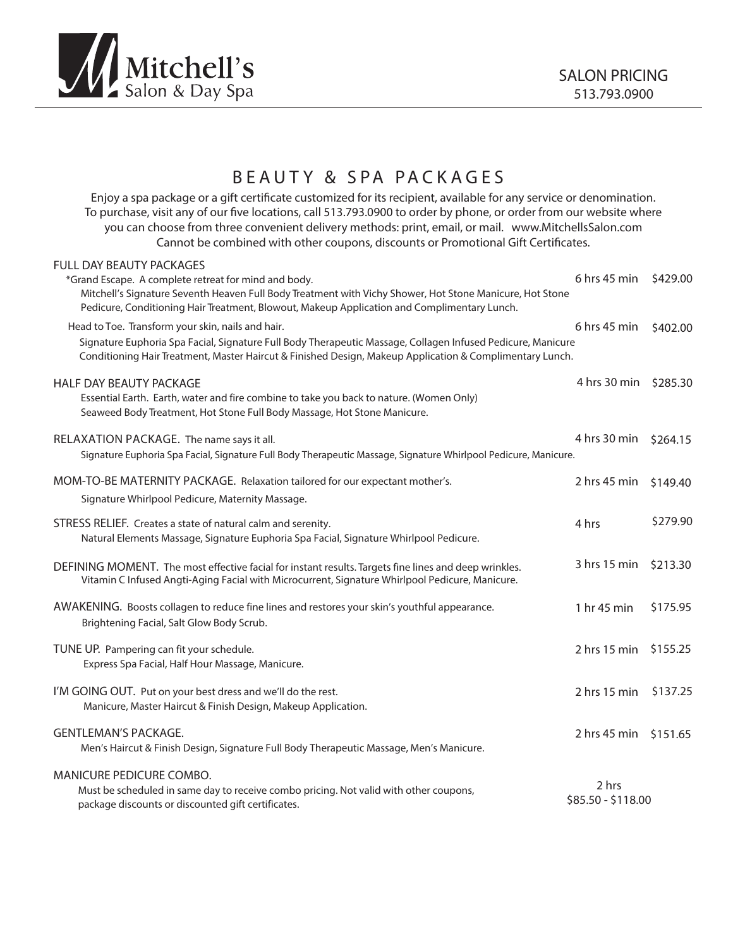

## BEAUTY & SPA PACKAGES

Enjoy a spa package or a gift certificate customized for its recipient, available for any service or denomination. To purchase, visit any of our five locations, call 513.793.0900 to order by phone, or order from our website where you can choose from three convenient delivery methods: print, email, or mail. www.MitchellsSalon.com Cannot be combined with other coupons, discounts or Promotional Gift Certificates.

| <b>FULL DAY BEAUTY PACKAGES</b><br>*Grand Escape. A complete retreat for mind and body.<br>Mitchell's Signature Seventh Heaven Full Body Treatment with Vichy Shower, Hot Stone Manicure, Hot Stone<br>Pedicure, Conditioning Hair Treatment, Blowout, Makeup Application and Complimentary Lunch. | 6 hrs 45 min                | \$429.00 |
|----------------------------------------------------------------------------------------------------------------------------------------------------------------------------------------------------------------------------------------------------------------------------------------------------|-----------------------------|----------|
| Head to Toe. Transform your skin, nails and hair.<br>Signature Euphoria Spa Facial, Signature Full Body Therapeutic Massage, Collagen Infused Pedicure, Manicure<br>Conditioning Hair Treatment, Master Haircut & Finished Design, Makeup Application & Complimentary Lunch.                       | 6 hrs 45 min                | \$402.00 |
| <b>HALF DAY BEAUTY PACKAGE</b><br>Essential Earth. Earth, water and fire combine to take you back to nature. (Women Only)<br>Seaweed Body Treatment, Hot Stone Full Body Massage, Hot Stone Manicure.                                                                                              | 4 hrs 30 min \$285.30       |          |
| RELAXATION PACKAGE. The name says it all.<br>Signature Euphoria Spa Facial, Signature Full Body Therapeutic Massage, Signature Whirlpool Pedicure, Manicure.                                                                                                                                       | 4 hrs 30 min                | \$264.15 |
| MOM-TO-BE MATERNITY PACKAGE. Relaxation tailored for our expectant mother's.<br>Signature Whirlpool Pedicure, Maternity Massage.                                                                                                                                                                   | 2 hrs 45 min                | \$149.40 |
| STRESS RELIEF. Creates a state of natural calm and serenity.<br>Natural Elements Massage, Signature Euphoria Spa Facial, Signature Whirlpool Pedicure.                                                                                                                                             | 4 hrs                       | \$279.90 |
| DEFINING MOMENT. The most effective facial for instant results. Targets fine lines and deep wrinkles.<br>Vitamin C Infused Angti-Aging Facial with Microcurrent, Signature Whirlpool Pedicure, Manicure.                                                                                           | 3 hrs 15 min                | \$213.30 |
| AWAKENING. Boosts collagen to reduce fine lines and restores your skin's youthful appearance.<br>Brightening Facial, Salt Glow Body Scrub.                                                                                                                                                         | 1 hr 45 min                 | \$175.95 |
| TUNE UP. Pampering can fit your schedule.<br>Express Spa Facial, Half Hour Massage, Manicure.                                                                                                                                                                                                      | 2 hrs 15 min                | \$155.25 |
| I'M GOING OUT. Put on your best dress and we'll do the rest.<br>Manicure, Master Haircut & Finish Design, Makeup Application.                                                                                                                                                                      | 2 hrs 15 min                | \$137.25 |
| <b>GENTLEMAN'S PACKAGE.</b><br>Men's Haircut & Finish Design, Signature Full Body Therapeutic Massage, Men's Manicure.                                                                                                                                                                             | 2 hrs 45 min \$151.65       |          |
| MANICURE PEDICURE COMBO.<br>Must be scheduled in same day to receive combo pricing. Not valid with other coupons,<br>package discounts or discounted gift certificates.                                                                                                                            | 2 hrs<br>\$85.50 - \$118.00 |          |